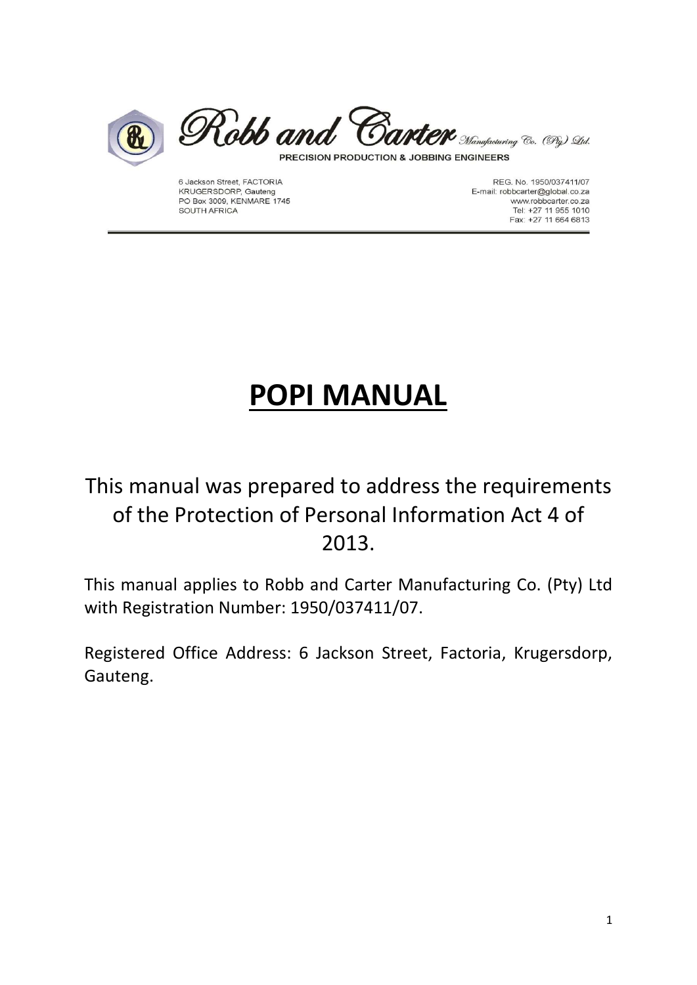



PRECISION PRODUCTION & JOBBING ENGINEERS

6 Jackson Street, FACTORIA KRUGERSDORP, Gauteng PO Box 3009, KENMARE 1745 SOUTH AFRICA

REG. No. 1950/037411/07 E-mail: robbcarter@global.co.za www.robbcarter.co.za Tel: +27 11 955 1010<br>Fax: +27 11 664 6813

# POPI MANUAL

### This manual was prepared to address the requirements of the Protection of Personal Information Act 4 of 2013.

This manual applies to Robb and Carter Manufacturing Co. (Pty) Ltd with Registration Number: 1950/037411/07.

Registered Office Address: 6 Jackson Street, Factoria, Krugersdorp, Gauteng.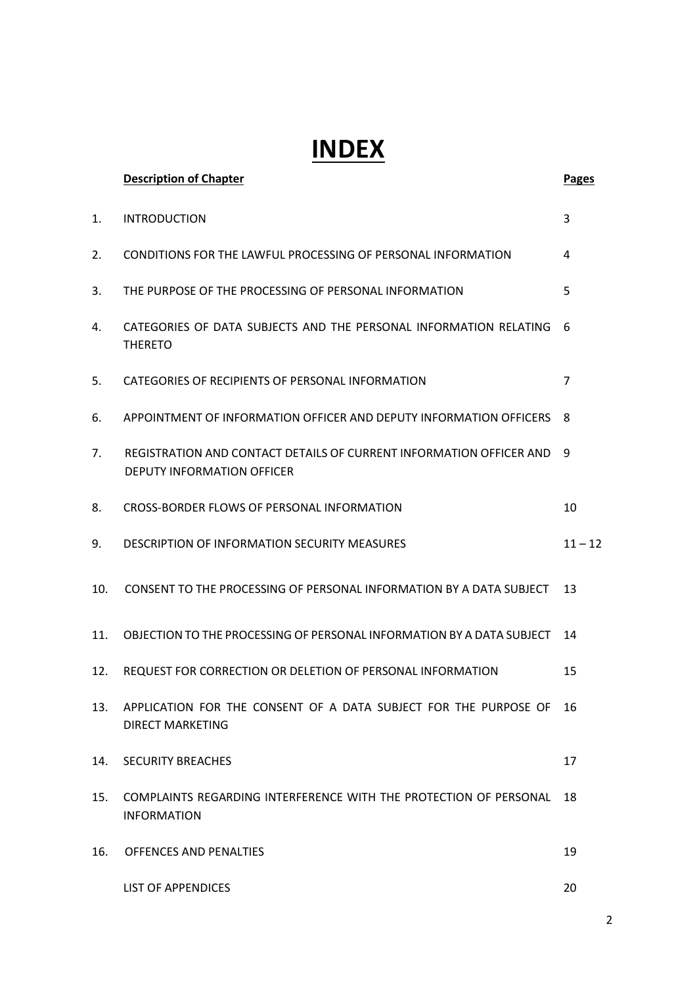## INDEX

|     | <b>Description of Chapter</b>                                                                            | <b>Pages</b>   |
|-----|----------------------------------------------------------------------------------------------------------|----------------|
| 1.  | <b>INTRODUCTION</b>                                                                                      | 3              |
| 2.  | <b>CONDITIONS FOR THE LAWFUL PROCESSING OF PERSONAL INFORMATION</b>                                      | 4              |
| 3.  | THE PURPOSE OF THE PROCESSING OF PERSONAL INFORMATION                                                    | 5              |
| 4.  | CATEGORIES OF DATA SUBJECTS AND THE PERSONAL INFORMATION RELATING<br><b>THERETO</b>                      | 6              |
| 5.  | CATEGORIES OF RECIPIENTS OF PERSONAL INFORMATION                                                         | $\overline{7}$ |
| 6.  | APPOINTMENT OF INFORMATION OFFICER AND DEPUTY INFORMATION OFFICERS                                       | 8              |
| 7.  | REGISTRATION AND CONTACT DETAILS OF CURRENT INFORMATION OFFICER AND<br><b>DEPUTY INFORMATION OFFICER</b> | 9              |
| 8.  | CROSS-BORDER FLOWS OF PERSONAL INFORMATION                                                               | 10             |
| 9.  | <b>DESCRIPTION OF INFORMATION SECURITY MEASURES</b>                                                      | $11 - 12$      |
| 10. | CONSENT TO THE PROCESSING OF PERSONAL INFORMATION BY A DATA SUBJECT                                      | 13             |
| 11. | OBJECTION TO THE PROCESSING OF PERSONAL INFORMATION BY A DATA SUBJECT                                    | 14             |
| 12. | REQUEST FOR CORRECTION OR DELETION OF PERSONAL INFORMATION                                               | 15             |
| 13. | APPLICATION FOR THE CONSENT OF A DATA SUBJECT FOR THE PURPOSE OF<br><b>DIRECT MARKETING</b>              | 16             |
| 14. | <b>SECURITY BREACHES</b>                                                                                 | 17             |
| 15. | COMPLAINTS REGARDING INTERFERENCE WITH THE PROTECTION OF PERSONAL<br><b>INFORMATION</b>                  | 18             |
| 16. | OFFENCES AND PENALTIES                                                                                   | 19             |
|     | <b>LIST OF APPENDICES</b>                                                                                | 20             |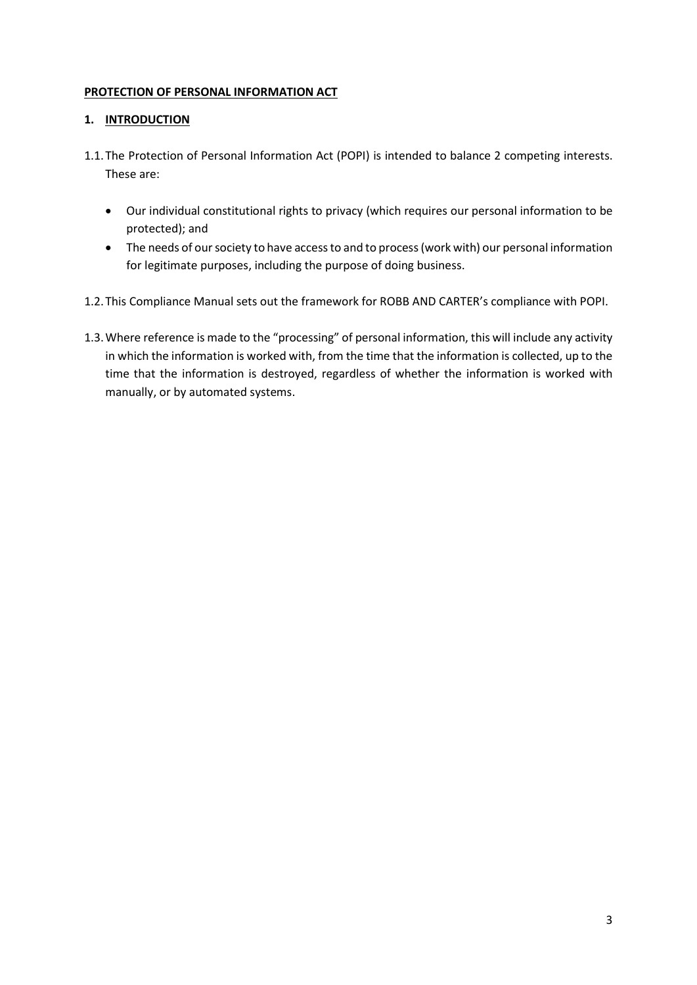#### PROTECTION OF PERSONAL INFORMATION ACT

#### 1. INTRODUCTION

- 1.1.The Protection of Personal Information Act (POPI) is intended to balance 2 competing interests. These are:
	- Our individual constitutional rights to privacy (which requires our personal information to be protected); and
	- The needs of our society to have access to and to process (work with) our personal information for legitimate purposes, including the purpose of doing business.
- 1.2.This Compliance Manual sets out the framework for ROBB AND CARTER's compliance with POPI.
- 1.3.Where reference is made to the "processing" of personal information, this will include any activity in which the information is worked with, from the time that the information is collected, up to the time that the information is destroyed, regardless of whether the information is worked with manually, or by automated systems.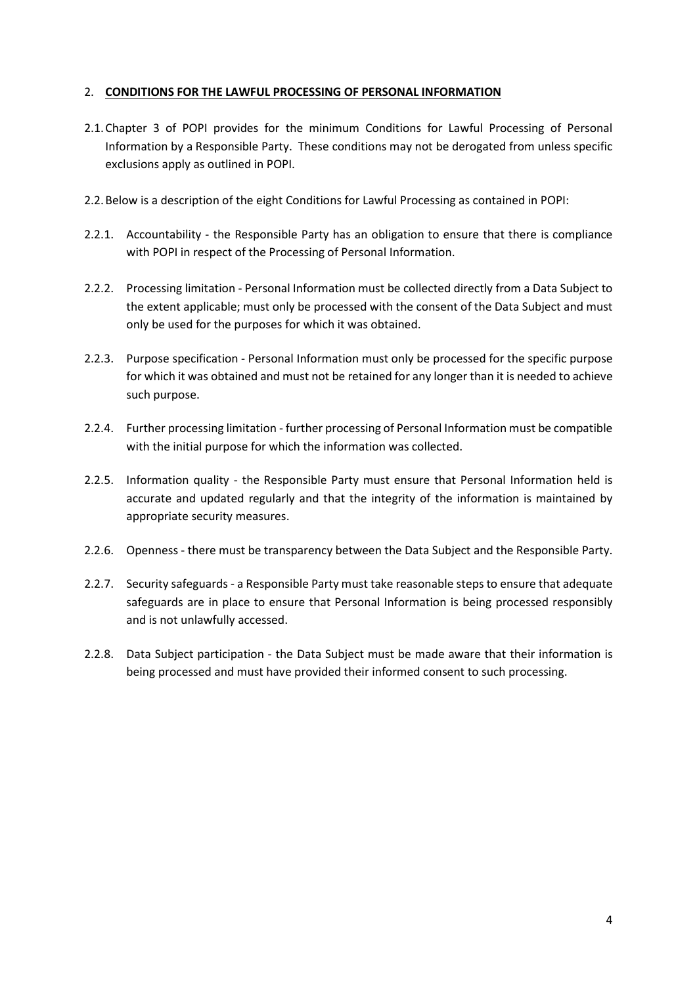#### 2. CONDITIONS FOR THE LAWFUL PROCESSING OF PERSONAL INFORMATION

- 2.1.Chapter 3 of POPI provides for the minimum Conditions for Lawful Processing of Personal Information by a Responsible Party. These conditions may not be derogated from unless specific exclusions apply as outlined in POPI.
- 2.2.Below is a description of the eight Conditions for Lawful Processing as contained in POPI:
- 2.2.1. Accountability the Responsible Party has an obligation to ensure that there is compliance with POPI in respect of the Processing of Personal Information.
- 2.2.2. Processing limitation Personal Information must be collected directly from a Data Subject to the extent applicable; must only be processed with the consent of the Data Subject and must only be used for the purposes for which it was obtained.
- 2.2.3. Purpose specification Personal Information must only be processed for the specific purpose for which it was obtained and must not be retained for any longer than it is needed to achieve such purpose.
- 2.2.4. Further processing limitation further processing of Personal Information must be compatible with the initial purpose for which the information was collected.
- 2.2.5. Information quality the Responsible Party must ensure that Personal Information held is accurate and updated regularly and that the integrity of the information is maintained by appropriate security measures.
- 2.2.6. Openness there must be transparency between the Data Subject and the Responsible Party.
- 2.2.7. Security safeguards a Responsible Party must take reasonable steps to ensure that adequate safeguards are in place to ensure that Personal Information is being processed responsibly and is not unlawfully accessed.
- 2.2.8. Data Subject participation the Data Subject must be made aware that their information is being processed and must have provided their informed consent to such processing.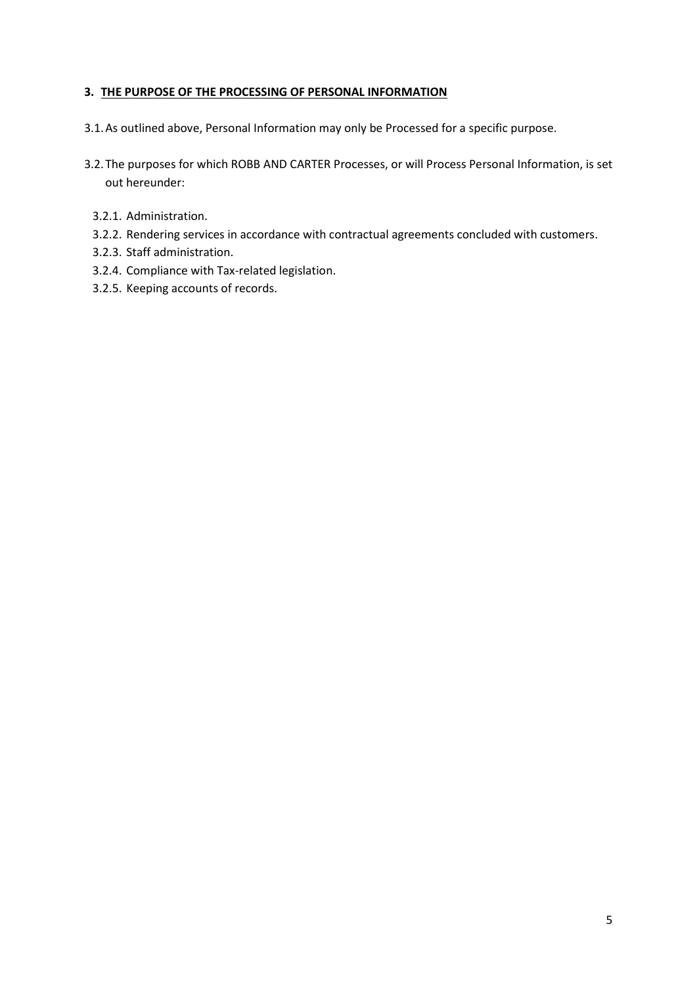#### 3. THE PURPOSE OF THE PROCESSING OF PERSONAL INFORMATION

- 3.1.As outlined above, Personal Information may only be Processed for a specific purpose.
- 3.2.The purposes for which ROBB AND CARTER Processes, or will Process Personal Information, is set out hereunder:
	- 3.2.1. Administration.
	- 3.2.2. Rendering services in accordance with contractual agreements concluded with customers.
	- 3.2.3. Staff administration.
	- 3.2.4. Compliance with Tax-related legislation.
	- 3.2.5. Keeping accounts of records.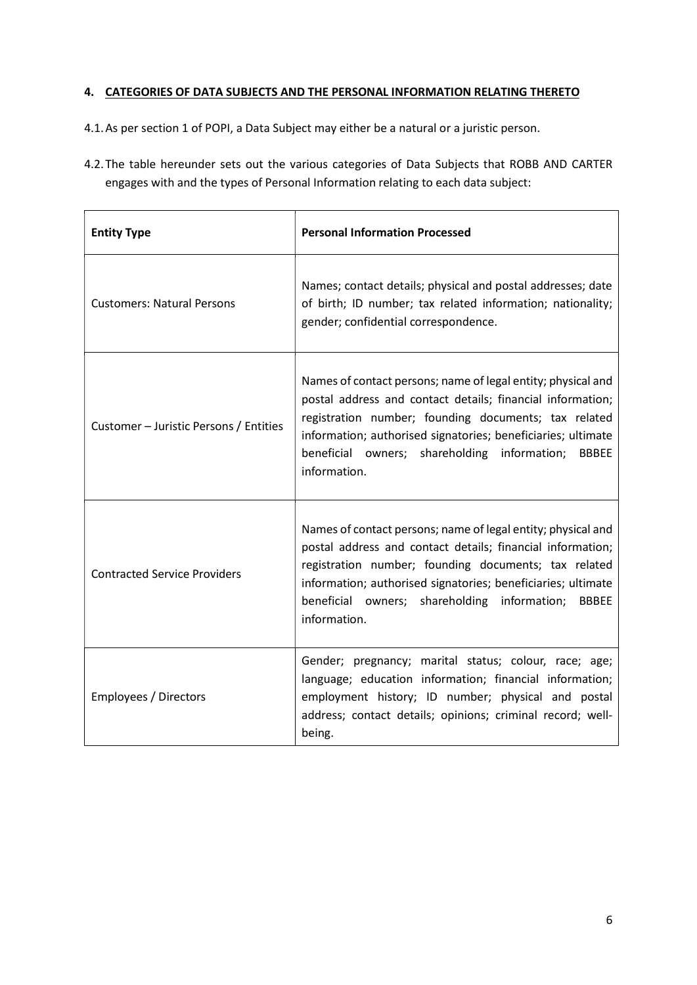#### 4. CATEGORIES OF DATA SUBJECTS AND THE PERSONAL INFORMATION RELATING THERETO

4.1.As per section 1 of POPI, a Data Subject may either be a natural or a juristic person.

4.2.The table hereunder sets out the various categories of Data Subjects that ROBB AND CARTER engages with and the types of Personal Information relating to each data subject:

| <b>Entity Type</b>                     | <b>Personal Information Processed</b>                                                                                                                                                                                                                                                                                              |  |
|----------------------------------------|------------------------------------------------------------------------------------------------------------------------------------------------------------------------------------------------------------------------------------------------------------------------------------------------------------------------------------|--|
| <b>Customers: Natural Persons</b>      | Names; contact details; physical and postal addresses; date<br>of birth; ID number; tax related information; nationality;<br>gender; confidential correspondence.                                                                                                                                                                  |  |
| Customer – Juristic Persons / Entities | Names of contact persons; name of legal entity; physical and<br>postal address and contact details; financial information;<br>registration number; founding documents; tax related<br>information; authorised signatories; beneficiaries; ultimate<br>beneficial owners; shareholding information;<br><b>BBBEE</b><br>information. |  |
| <b>Contracted Service Providers</b>    | Names of contact persons; name of legal entity; physical and<br>postal address and contact details; financial information;<br>registration number; founding documents; tax related<br>information; authorised signatories; beneficiaries; ultimate<br>beneficial owners; shareholding information;<br><b>BBBEE</b><br>information. |  |
| Employees / Directors                  | Gender; pregnancy; marital status; colour, race; age;<br>language; education information; financial information;<br>employment history; ID number; physical and postal<br>address; contact details; opinions; criminal record; well-<br>being.                                                                                     |  |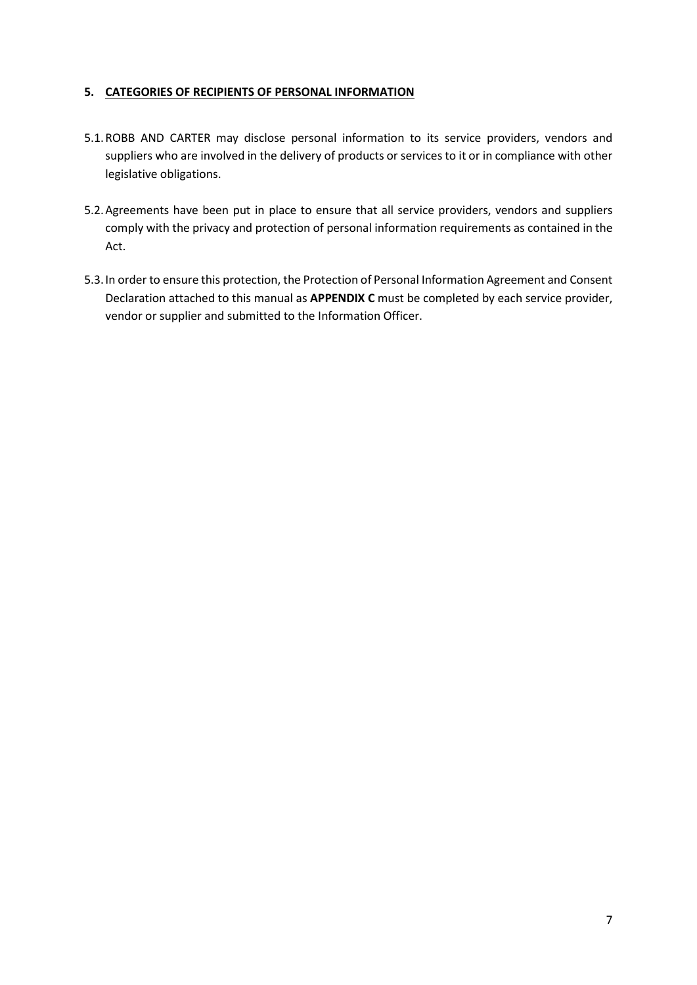#### 5. CATEGORIES OF RECIPIENTS OF PERSONAL INFORMATION

- 5.1.ROBB AND CARTER may disclose personal information to its service providers, vendors and suppliers who are involved in the delivery of products or services to it or in compliance with other legislative obligations.
- 5.2.Agreements have been put in place to ensure that all service providers, vendors and suppliers comply with the privacy and protection of personal information requirements as contained in the Act.
- 5.3.In order to ensure this protection, the Protection of Personal Information Agreement and Consent Declaration attached to this manual as APPENDIX C must be completed by each service provider, vendor or supplier and submitted to the Information Officer.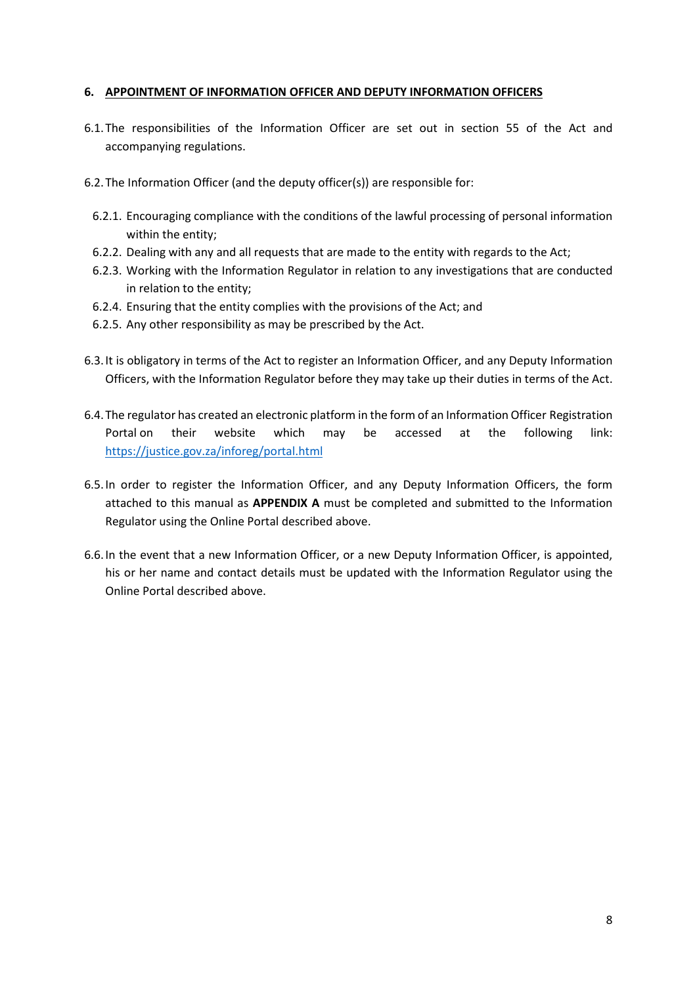#### 6. APPOINTMENT OF INFORMATION OFFICER AND DEPUTY INFORMATION OFFICERS

- 6.1.The responsibilities of the Information Officer are set out in section 55 of the Act and accompanying regulations.
- 6.2.The Information Officer (and the deputy officer(s)) are responsible for:
	- 6.2.1. Encouraging compliance with the conditions of the lawful processing of personal information within the entity;
	- 6.2.2. Dealing with any and all requests that are made to the entity with regards to the Act;
	- 6.2.3. Working with the Information Regulator in relation to any investigations that are conducted in relation to the entity;
	- 6.2.4. Ensuring that the entity complies with the provisions of the Act; and
	- 6.2.5. Any other responsibility as may be prescribed by the Act.
- 6.3.It is obligatory in terms of the Act to register an Information Officer, and any Deputy Information Officers, with the Information Regulator before they may take up their duties in terms of the Act.
- 6.4.The regulator has created an electronic platform in the form of an Information Officer Registration Portal on their website which may be accessed at the following link: https://justice.gov.za/inforeg/portal.html
- 6.5.In order to register the Information Officer, and any Deputy Information Officers, the form attached to this manual as APPENDIX A must be completed and submitted to the Information Regulator using the Online Portal described above.
- 6.6.In the event that a new Information Officer, or a new Deputy Information Officer, is appointed, his or her name and contact details must be updated with the Information Regulator using the Online Portal described above.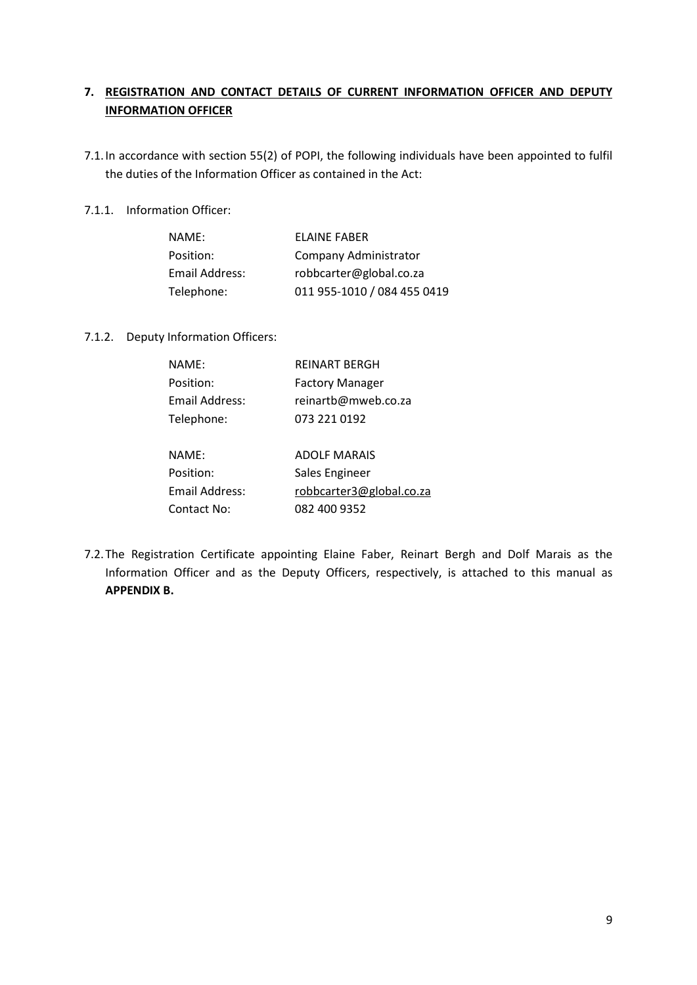#### 7. REGISTRATION AND CONTACT DETAILS OF CURRENT INFORMATION OFFICER AND DEPUTY INFORMATION OFFICER

- 7.1.In accordance with section 55(2) of POPI, the following individuals have been appointed to fulfil the duties of the Information Officer as contained in the Act:
- 7.1.1. Information Officer:

| NAME:          | <b>FLAINE FABER</b>         |
|----------------|-----------------------------|
| Position:      | Company Administrator       |
| Email Address: | robbcarter@global.co.za     |
| Telephone:     | 011 955-1010 / 084 455 0419 |

7.1.2. Deputy Information Officers:

| NAME:          | <b>REINART BERGH</b>     |
|----------------|--------------------------|
| Position:      | <b>Factory Manager</b>   |
| Email Address: | reinartb@mweb.co.za      |
| Telephone:     | 073 221 0192             |
|                |                          |
| NAME:          | <b>ADOLF MARAIS</b>      |
| Position:      | Sales Engineer           |
| Email Address: | robbcarter3@global.co.za |
| Contact No:    | 082 400 9352             |

7.2.The Registration Certificate appointing Elaine Faber, Reinart Bergh and Dolf Marais as the Information Officer and as the Deputy Officers, respectively, is attached to this manual as APPENDIX B.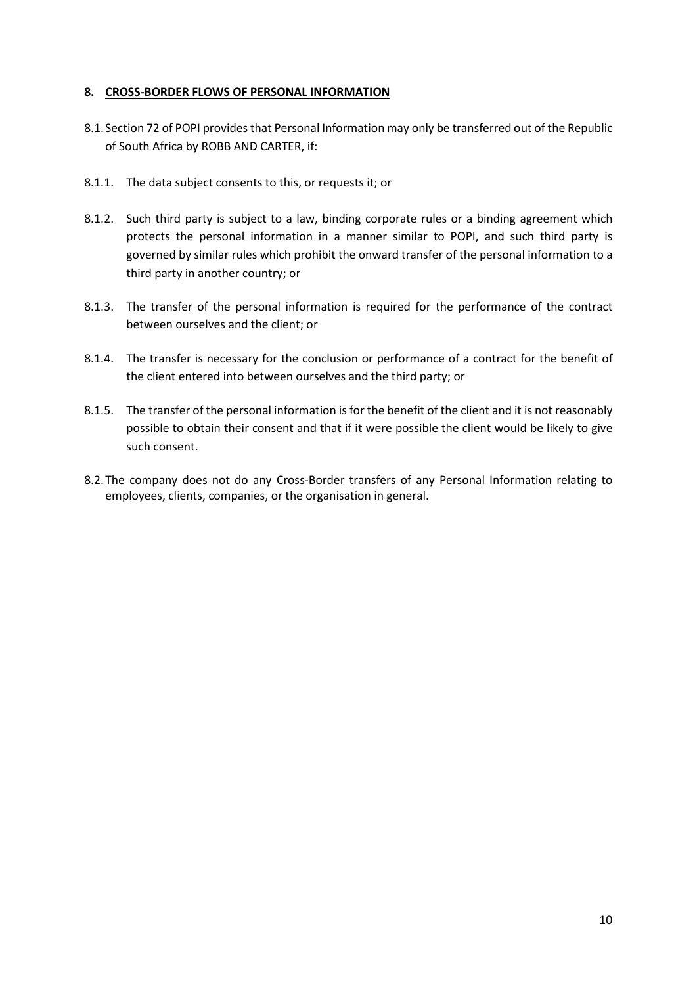#### 8. CROSS-BORDER FLOWS OF PERSONAL INFORMATION

- 8.1.Section 72 of POPI provides that Personal Information may only be transferred out of the Republic of South Africa by ROBB AND CARTER, if:
- 8.1.1. The data subject consents to this, or requests it; or
- 8.1.2. Such third party is subject to a law, binding corporate rules or a binding agreement which protects the personal information in a manner similar to POPI, and such third party is governed by similar rules which prohibit the onward transfer of the personal information to a third party in another country; or
- 8.1.3. The transfer of the personal information is required for the performance of the contract between ourselves and the client; or
- 8.1.4. The transfer is necessary for the conclusion or performance of a contract for the benefit of the client entered into between ourselves and the third party; or
- 8.1.5. The transfer of the personal information is for the benefit of the client and it is not reasonably possible to obtain their consent and that if it were possible the client would be likely to give such consent.
- 8.2.The company does not do any Cross-Border transfers of any Personal Information relating to employees, clients, companies, or the organisation in general.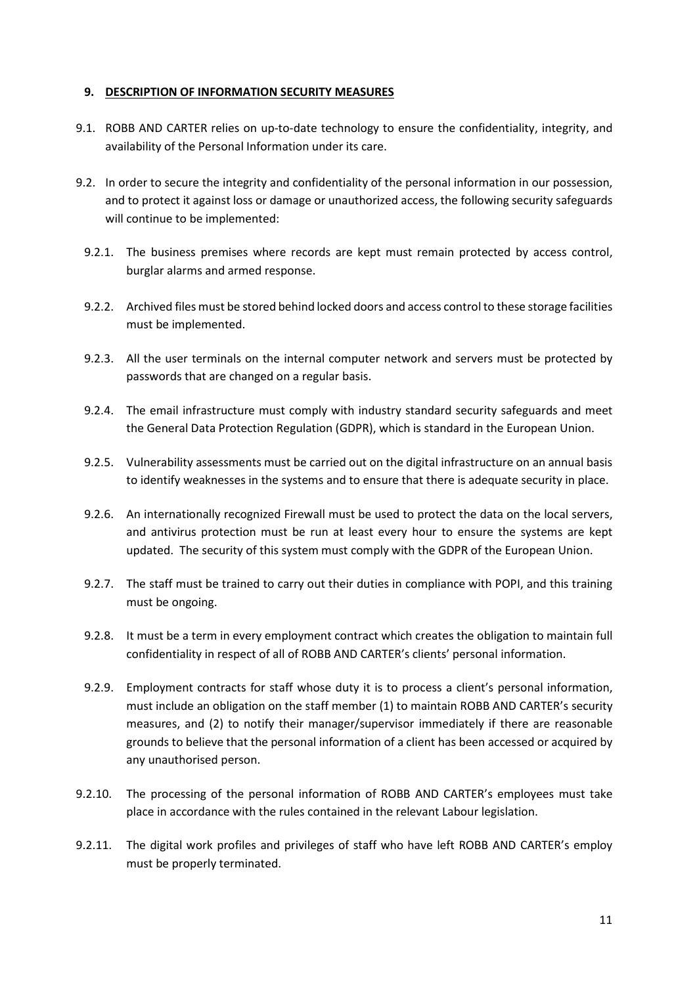#### 9. DESCRIPTION OF INFORMATION SECURITY MEASURES

- 9.1. ROBB AND CARTER relies on up-to-date technology to ensure the confidentiality, integrity, and availability of the Personal Information under its care.
- 9.2. In order to secure the integrity and confidentiality of the personal information in our possession, and to protect it against loss or damage or unauthorized access, the following security safeguards will continue to be implemented:
	- 9.2.1. The business premises where records are kept must remain protected by access control, burglar alarms and armed response.
	- 9.2.2. Archived files must be stored behind locked doors and access control to these storage facilities must be implemented.
	- 9.2.3. All the user terminals on the internal computer network and servers must be protected by passwords that are changed on a regular basis.
	- 9.2.4. The email infrastructure must comply with industry standard security safeguards and meet the General Data Protection Regulation (GDPR), which is standard in the European Union.
	- 9.2.5. Vulnerability assessments must be carried out on the digital infrastructure on an annual basis to identify weaknesses in the systems and to ensure that there is adequate security in place.
	- 9.2.6. An internationally recognized Firewall must be used to protect the data on the local servers, and antivirus protection must be run at least every hour to ensure the systems are kept updated. The security of this system must comply with the GDPR of the European Union.
	- 9.2.7. The staff must be trained to carry out their duties in compliance with POPI, and this training must be ongoing.
	- 9.2.8. It must be a term in every employment contract which creates the obligation to maintain full confidentiality in respect of all of ROBB AND CARTER's clients' personal information.
	- 9.2.9. Employment contracts for staff whose duty it is to process a client's personal information, must include an obligation on the staff member (1) to maintain ROBB AND CARTER's security measures, and (2) to notify their manager/supervisor immediately if there are reasonable grounds to believe that the personal information of a client has been accessed or acquired by any unauthorised person.
- 9.2.10. The processing of the personal information of ROBB AND CARTER's employees must take place in accordance with the rules contained in the relevant Labour legislation.
- 9.2.11. The digital work profiles and privileges of staff who have left ROBB AND CARTER's employ must be properly terminated.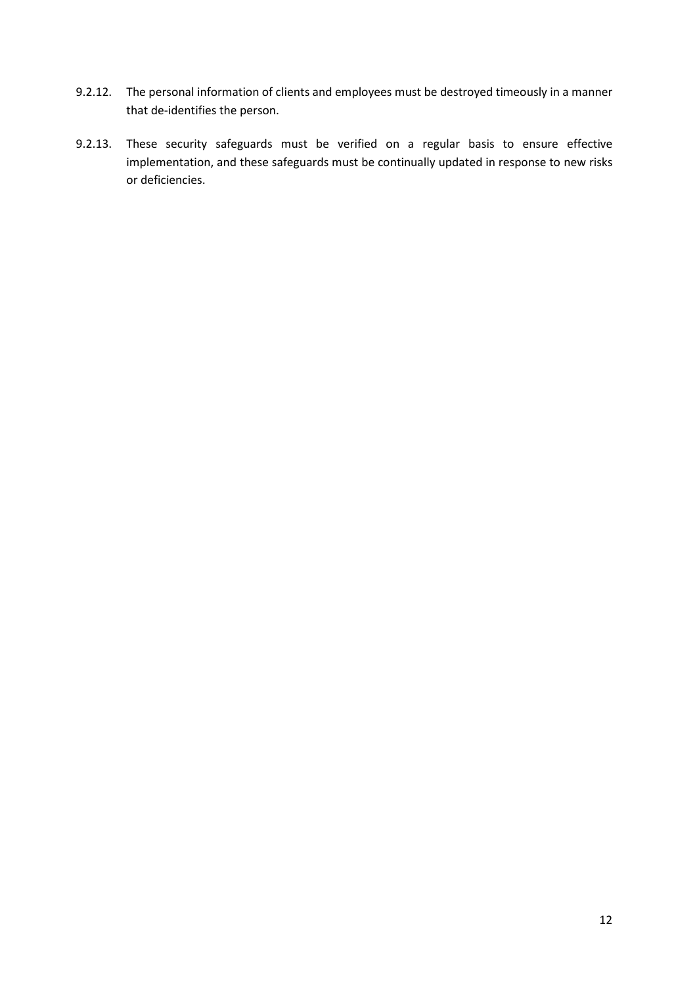- 9.2.12. The personal information of clients and employees must be destroyed timeously in a manner that de-identifies the person.
- 9.2.13. These security safeguards must be verified on a regular basis to ensure effective implementation, and these safeguards must be continually updated in response to new risks or deficiencies.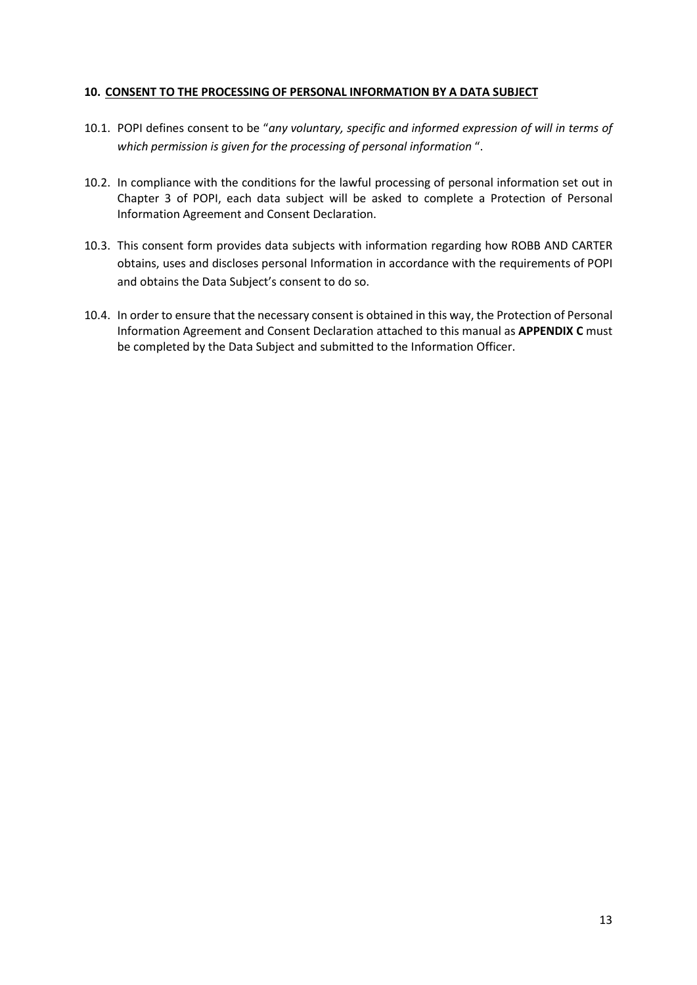#### 10. CONSENT TO THE PROCESSING OF PERSONAL INFORMATION BY A DATA SUBJECT

- 10.1. POPI defines consent to be "any voluntary, specific and informed expression of will in terms of which permission is given for the processing of personal information ".
- 10.2. In compliance with the conditions for the lawful processing of personal information set out in Chapter 3 of POPI, each data subject will be asked to complete a Protection of Personal Information Agreement and Consent Declaration.
- 10.3. This consent form provides data subjects with information regarding how ROBB AND CARTER obtains, uses and discloses personal Information in accordance with the requirements of POPI and obtains the Data Subject's consent to do so.
- 10.4. In order to ensure that the necessary consent is obtained in this way, the Protection of Personal Information Agreement and Consent Declaration attached to this manual as APPENDIX C must be completed by the Data Subject and submitted to the Information Officer.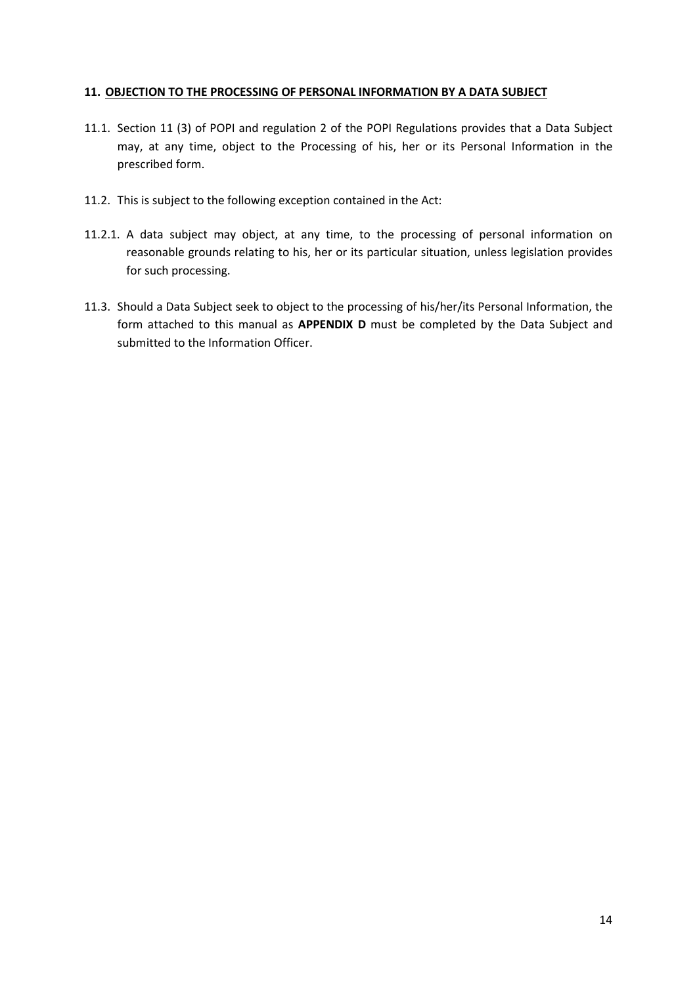#### 11. OBJECTION TO THE PROCESSING OF PERSONAL INFORMATION BY A DATA SUBJECT

- 11.1. Section 11 (3) of POPI and regulation 2 of the POPI Regulations provides that a Data Subject may, at any time, object to the Processing of his, her or its Personal Information in the prescribed form.
- 11.2. This is subject to the following exception contained in the Act:
- 11.2.1. A data subject may object, at any time, to the processing of personal information on reasonable grounds relating to his, her or its particular situation, unless legislation provides for such processing.
- 11.3. Should a Data Subject seek to object to the processing of his/her/its Personal Information, the form attached to this manual as APPENDIX D must be completed by the Data Subject and submitted to the Information Officer.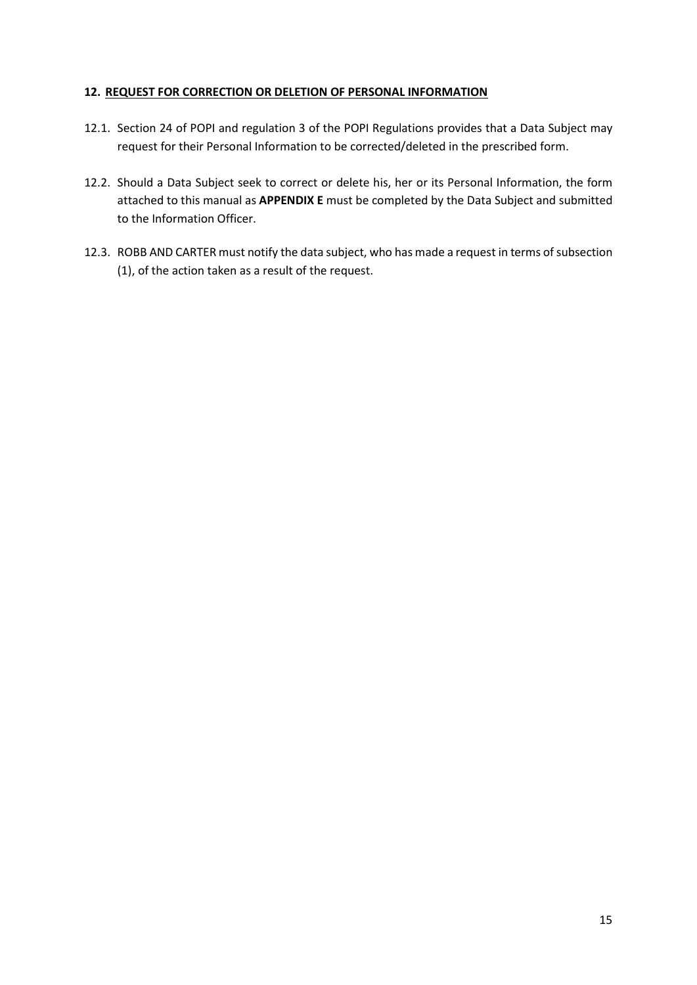#### 12. REQUEST FOR CORRECTION OR DELETION OF PERSONAL INFORMATION

- 12.1. Section 24 of POPI and regulation 3 of the POPI Regulations provides that a Data Subject may request for their Personal Information to be corrected/deleted in the prescribed form.
- 12.2. Should a Data Subject seek to correct or delete his, her or its Personal Information, the form attached to this manual as **APPENDIX E** must be completed by the Data Subject and submitted to the Information Officer.
- 12.3. ROBB AND CARTER must notify the data subject, who has made a request in terms of subsection (1), of the action taken as a result of the request.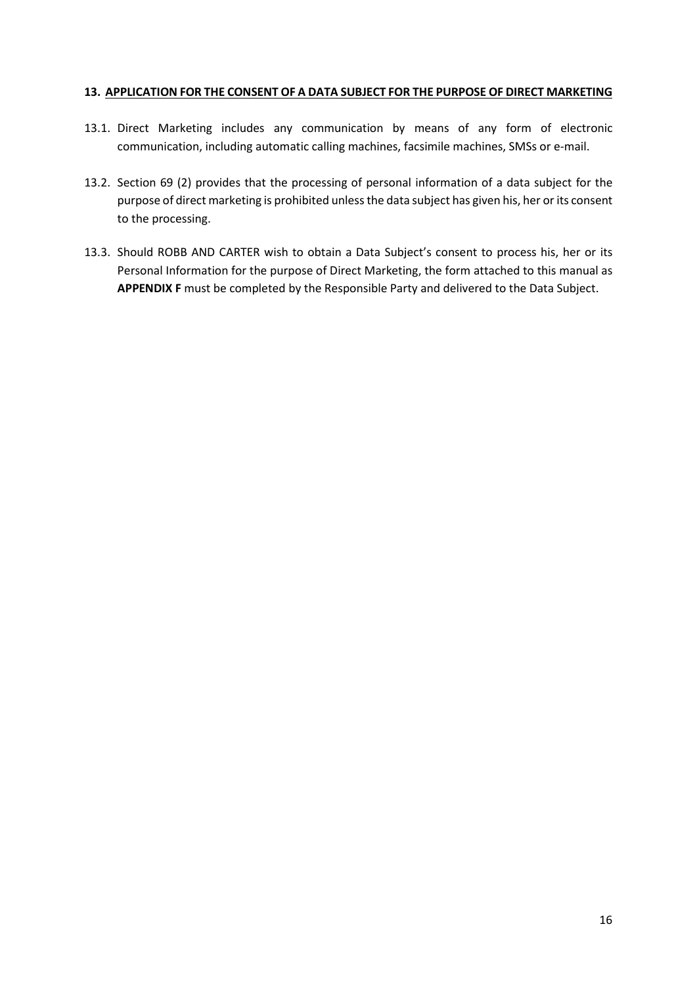#### 13. APPLICATION FOR THE CONSENT OF A DATA SUBJECT FOR THE PURPOSE OF DIRECT MARKETING

- 13.1. Direct Marketing includes any communication by means of any form of electronic communication, including automatic calling machines, facsimile machines, SMSs or e-mail.
- 13.2. Section 69 (2) provides that the processing of personal information of a data subject for the purpose of direct marketing is prohibited unless the data subject has given his, her or its consent to the processing.
- 13.3. Should ROBB AND CARTER wish to obtain a Data Subject's consent to process his, her or its Personal Information for the purpose of Direct Marketing, the form attached to this manual as APPENDIX F must be completed by the Responsible Party and delivered to the Data Subject.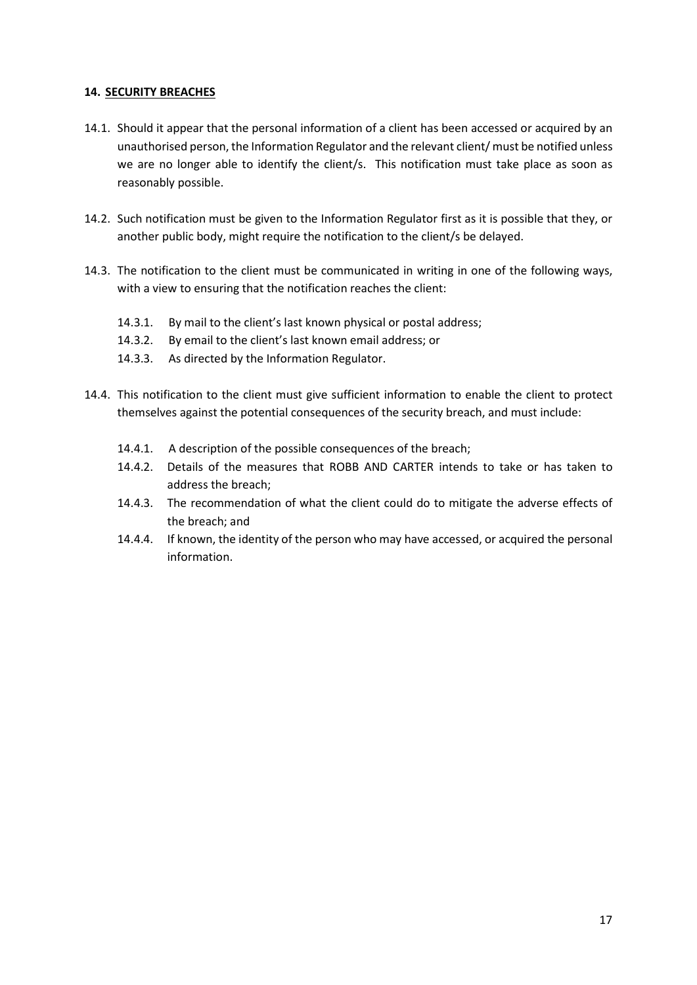#### 14. SECURITY BREACHES

- 14.1. Should it appear that the personal information of a client has been accessed or acquired by an unauthorised person, the Information Regulator and the relevant client/ must be notified unless we are no longer able to identify the client/s. This notification must take place as soon as reasonably possible.
- 14.2. Such notification must be given to the Information Regulator first as it is possible that they, or another public body, might require the notification to the client/s be delayed.
- 14.3. The notification to the client must be communicated in writing in one of the following ways, with a view to ensuring that the notification reaches the client:
	- 14.3.1. By mail to the client's last known physical or postal address;
	- 14.3.2. By email to the client's last known email address; or
	- 14.3.3. As directed by the Information Regulator.
- 14.4. This notification to the client must give sufficient information to enable the client to protect themselves against the potential consequences of the security breach, and must include:
	- 14.4.1. A description of the possible consequences of the breach;
	- 14.4.2. Details of the measures that ROBB AND CARTER intends to take or has taken to address the breach;
	- 14.4.3. The recommendation of what the client could do to mitigate the adverse effects of the breach; and
	- 14.4.4. If known, the identity of the person who may have accessed, or acquired the personal information.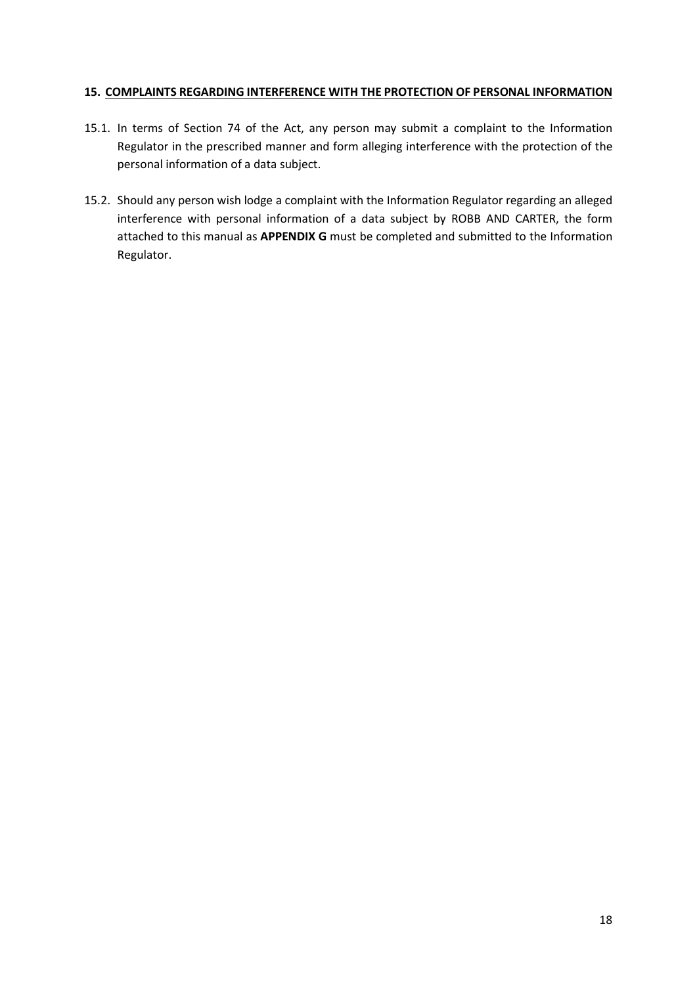#### 15. COMPLAINTS REGARDING INTERFERENCE WITH THE PROTECTION OF PERSONAL INFORMATION

- 15.1. In terms of Section 74 of the Act, any person may submit a complaint to the Information Regulator in the prescribed manner and form alleging interference with the protection of the personal information of a data subject.
- 15.2. Should any person wish lodge a complaint with the Information Regulator regarding an alleged interference with personal information of a data subject by ROBB AND CARTER, the form attached to this manual as APPENDIX G must be completed and submitted to the Information Regulator.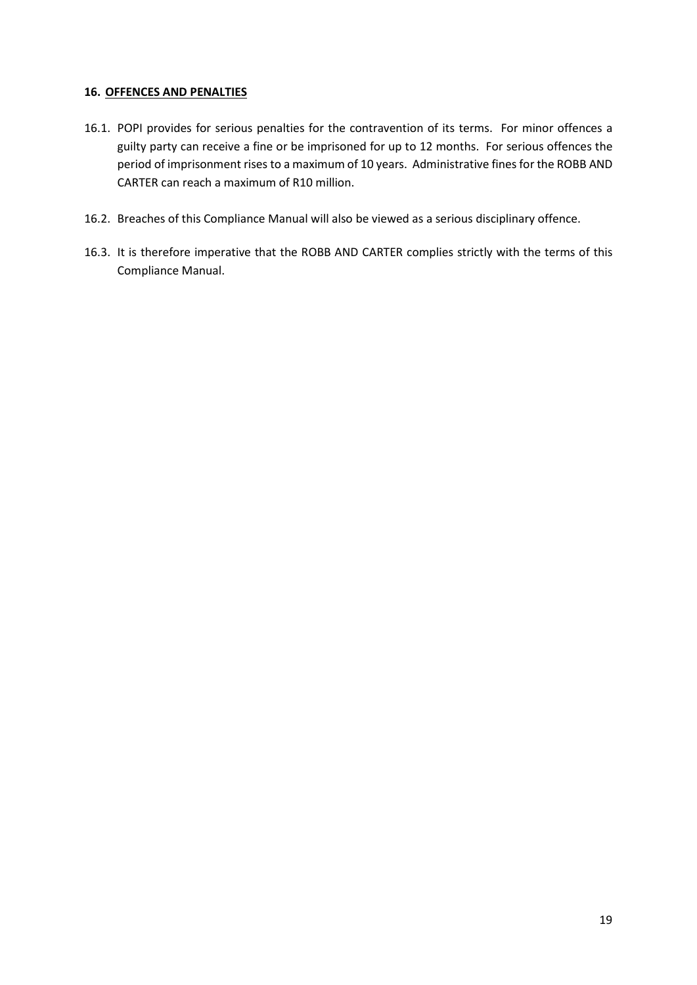#### 16. OFFENCES AND PENALTIES

- 16.1. POPI provides for serious penalties for the contravention of its terms. For minor offences a guilty party can receive a fine or be imprisoned for up to 12 months. For serious offences the period of imprisonment rises to a maximum of 10 years. Administrative fines for the ROBB AND CARTER can reach a maximum of R10 million.
- 16.2. Breaches of this Compliance Manual will also be viewed as a serious disciplinary offence.
- 16.3. It is therefore imperative that the ROBB AND CARTER complies strictly with the terms of this Compliance Manual.